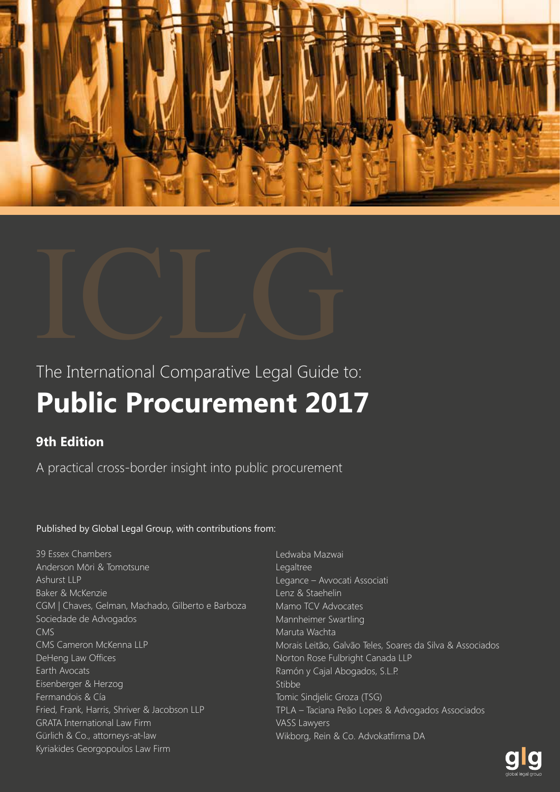



## The International Comparative Legal Guide to: **Public Procurement 2017**

## **9th Edition**

A practical cross-border insight into public procurement

## Published by Global Legal Group, with contributions from:

39 Essex Chambers Anderson Mōri & Tomotsune Ashurst LLP Baker & McKenzie CGM | Chaves, Gelman, Machado, Gilberto e Barboza Sociedade de Advogados CMS CMS Cameron McKenna LLP DeHeng Law Offices Earth Avocats Eisenberger & Herzog Fermandois & Cía Fried, Frank, Harris, Shriver & Jacobson LLP GRATA International Law Firm Gürlich & Co., attorneys-at-law Kyriakides Georgopoulos Law Firm

Ledwaba Mazwai Legaltree Legance – Avvocati Associati Lenz & Staehelin Mamo TCV Advocates Mannheimer Swartling Maruta Wachta Morais Leitão, Galvão Teles, Soares da Silva & Associados Norton Rose Fulbright Canada LLP Ramón y Cajal Abogados, S.L.P. Stibbe Tomic Sindjelic Groza (TSG) TPLA – Taciana Peão Lopes & Advogados Associados VASS Lawyers Wikborg, Rein & Co. Advokatfirma DA

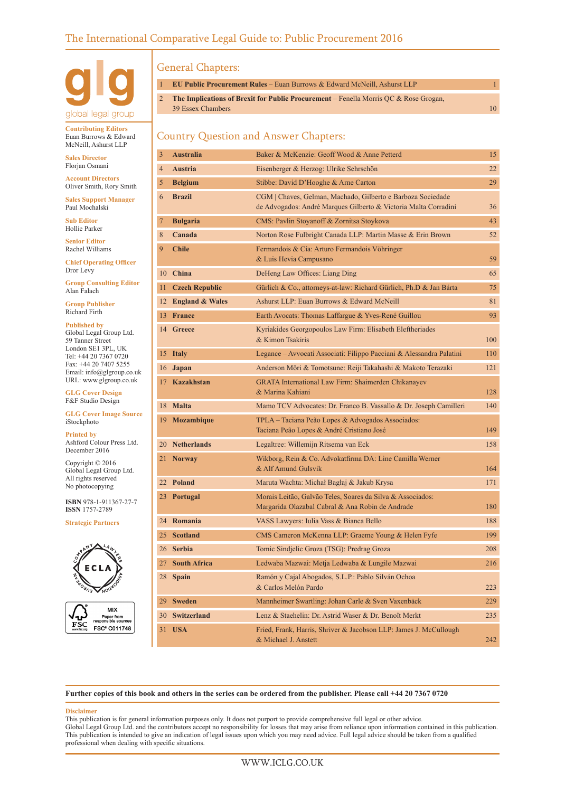

**Contributing Editors** Euan Burrows & Edward McNeill, Ashurst LLP

**Sales Director** Florjan Osmani

**Account Directors** Oliver Smith, Rory Smith

**Sales Support Manager** Paul Mochalski

**Sub Editor** Hollie Parker

**Senior Editor** Rachel Williams

**Chief Operating Officer** Dror Levy

**Group Consulting Editor** Alan Falach

**Group Publisher** Richard Firth

**Published by** Global Legal Group Ltd. 59 Tanner Street London SE1 3PL, UK Tel: +44 20 7367 0720 Fax: +44 20 7407 5255 Email: info@glgroup.co.uk URL: www.glgroup.co.uk

**GLG Cover Design** F&F Studio Design

#### **GLG Cover Image Source** iStockphoto

**Printed by** Ashford Colour Press Ltd. December 2016

Copyright © 2016 Global Legal Group Ltd. All rights reserved No photocopying

**ISBN** 978-1-911367-27-7 **ISSN** 1757-2789

**Strategic Partners**





### General Chapters:

| <b>EU Public Procurement Rules</b> – Euan Burrows & Edward McNeill, Ashurst LLP        |     |
|----------------------------------------------------------------------------------------|-----|
| 2 The Implications of Brexit for Public Procurement – Fenella Morris QC & Rose Grogan, |     |
| 39 Essex Chambers                                                                      | 10. |

## Country Question and Answer Chapters:

| 3    | <b>Australia</b>      | Baker & McKenzie: Geoff Wood & Anne Petterd                                                                                    | 15  |
|------|-----------------------|--------------------------------------------------------------------------------------------------------------------------------|-----|
| 4    | <b>Austria</b>        | Eisenberger & Herzog: Ulrike Sehrschön                                                                                         | 22  |
| 5    | <b>Belgium</b>        | Stibbe: David D'Hooghe & Arne Carton                                                                                           | 29  |
| 6    | <b>Brazil</b>         | CGM   Chaves, Gelman, Machado, Gilberto e Barboza Sociedade<br>de Advogados: André Marques Gilberto & Victoria Malta Corradini | 36  |
| 7    | <b>Bulgaria</b>       | CMS: Pavlin Stoyanoff & Zornitsa Stoykova                                                                                      | 43  |
| 8    | Canada                | Norton Rose Fulbright Canada LLP: Martin Masse & Erin Brown                                                                    | 52  |
| 9    | <b>Chile</b>          | Fermandois & Cía: Arturo Fermandois Vöhringer<br>& Luis Hevia Campusano                                                        | 59  |
|      | 10 China              | DeHeng Law Offices: Liang Ding                                                                                                 | 65  |
| 11 - | <b>Czech Republic</b> | Gürlich & Co., attorneys-at-law: Richard Gürlich, Ph.D & Jan Bárta                                                             | 75  |
|      | 12 England & Wales    | Ashurst LLP: Euan Burrows & Edward McNeill                                                                                     | 81  |
|      | 13 France             | Earth Avocats: Thomas Laffargue & Yves-René Guillou                                                                            | 93  |
|      | 14 Greece             | Kyriakides Georgopoulos Law Firm: Elisabeth Eleftheriades<br>& Kimon Tsakiris                                                  | 100 |
|      | 15 Italy              | Legance - Avvocati Associati: Filippo Pacciani & Alessandra Palatini                                                           | 110 |
| 16   | Japan                 | Anderson Mōri & Tomotsune: Reiji Takahashi & Makoto Terazaki                                                                   | 121 |
|      | 17 Kazakhstan         | GRATA International Law Firm: Shaimerden Chikanayev<br>& Marina Kahiani                                                        | 128 |
|      | 18 Malta              | Mamo TCV Advocates: Dr. Franco B. Vassallo & Dr. Joseph Camilleri                                                              | 140 |
|      | 19 Mozambique         | TPLA – Taciana Peão Lopes & Advogados Associados:<br>Taciana Peão Lopes & André Cristiano José                                 | 149 |
|      | 20 Netherlands        | Legaltree: Willemijn Ritsema van Eck                                                                                           | 158 |
| 21 - | <b>Norway</b>         | Wikborg, Rein & Co. Advokatfirma DA: Line Camilla Werner<br>& Alf Amund Gulsvik                                                | 164 |
|      | 22 Poland             | Maruta Wachta: Michał Bagłaj & Jakub Krysa                                                                                     | 171 |
|      | 23 Portugal           | Morais Leitão, Galvão Teles, Soares da Silva & Associados:<br>Margarida Olazabal Cabral & Ana Robin de Andrade                 | 180 |
|      | 24 Romania            | VASS Lawyers: Iulia Vass & Bianca Bello                                                                                        | 188 |
|      | 25 Scotland           | CMS Cameron McKenna LLP: Graeme Young & Helen Fyfe                                                                             | 199 |
|      | 26 Serbia             | Tomic Sindjelic Groza (TSG): Predrag Groza                                                                                     | 208 |
|      | 27 South Africa       | Ledwaba Mazwai: Metja Ledwaba & Lungile Mazwai                                                                                 | 216 |
| 28   | <b>Spain</b>          | Ramón y Cajal Abogados, S.L.P.: Pablo Silván Ochoa<br>& Carlos Melón Pardo                                                     | 223 |
| 29   | <b>Sweden</b>         | Mannheimer Swartling: Johan Carle & Sven Vaxenbäck                                                                             | 229 |
| 30   | <b>Switzerland</b>    | Lenz & Staehelin: Dr. Astrid Waser & Dr. Benoît Merkt                                                                          | 235 |
| 31   | <b>USA</b>            | Fried, Frank, Harris, Shriver & Jacobson LLP: James J. McCullough<br>& Michael J. Anstett                                      | 242 |

**Further copies of this book and others in the series can be ordered from the publisher. Please call +44 20 7367 0720**

#### **Disclaimer**

This publication is for general information purposes only. It does not purport to provide comprehensive full legal or other advice. Global Legal Group Ltd. and the contributors accept no responsibility for losses that may arise from reliance upon information contained in this publication. This publication is intended to give an indication of legal issues upon which you may need advice. Full legal advice should be taken from a qualified professional when dealing with specific situations.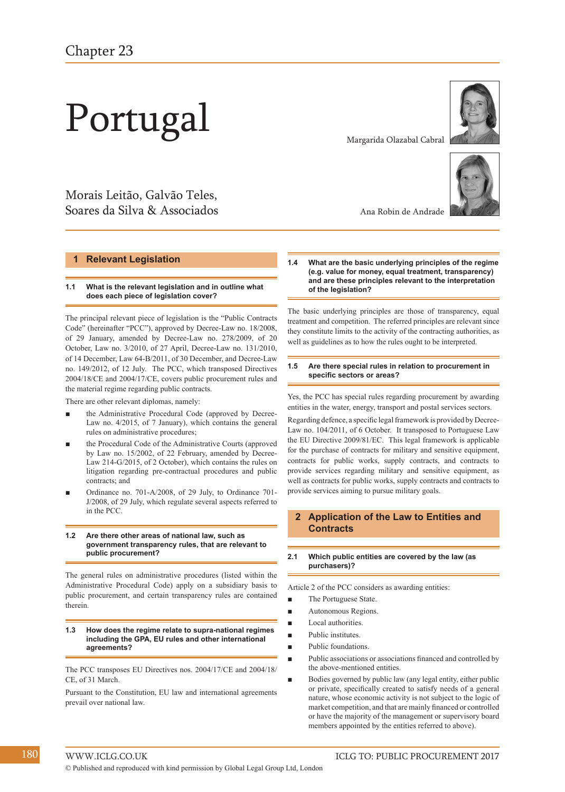# Portugal

## Morais Leitão, Galvão Teles, Soares da Silva & Associados

#### **1 Relevant Legislation**

#### **1.1 What is the relevant legislation and in outline what does each piece of legislation cover?**

The principal relevant piece of legislation is the "Public Contracts Code" (hereinafter "PCC"), approved by Decree-Law no. 18/2008, of 29 January, amended by Decree-Law no. 278/2009, of 20 October, Law no. 3/2010, of 27 April, Decree-Law no. 131/2010, of 14 December, Law 64-B/2011, of 30 December, and Decree-Law no. 149/2012, of 12 July. The PCC, which transposed Directives 2004/18/CE and 2004/17/CE, covers public procurement rules and the material regime regarding public contracts.

There are other relevant diplomas, namely:

- the Administrative Procedural Code (approved by Decree-Law no. 4/2015, of 7 January), which contains the general rules on administrative procedures;
- **■** the Procedural Code of the Administrative Courts (approved by Law no. 15/2002, of 22 February, amended by Decree-Law 214-G/2015, of 2 October), which contains the rules on litigation regarding pre-contractual procedures and public contracts; and
- **■** Ordinance no. 701-A/2008, of 29 July, to Ordinance 701- J/2008, of 29 July, which regulate several aspects referred to in the PCC.

#### **1.2 Are there other areas of national law, such as government transparency rules, that are relevant to public procurement?**

The general rules on administrative procedures (listed within the Administrative Procedural Code) apply on a subsidiary basis to public procurement, and certain transparency rules are contained therein.

#### **1.3 How does the regime relate to supra-national regimes including the GPA, EU rules and other international agreements?**

The PCC transposes EU Directives nos. 2004/17/CE and 2004/18/ CE, of 31 March.

Pursuant to the Constitution, EU law and international agreements prevail over national law.

Margarida Olazabal Cabral





Ana Robin de Andrade

**1.4 What are the basic underlying principles of the regime (e.g. value for money, equal treatment, transparency) and are these principles relevant to the interpretation of the legislation?**

The basic underlying principles are those of transparency, equal treatment and competition. The referred principles are relevant since they constitute limits to the activity of the contracting authorities, as well as guidelines as to how the rules ought to be interpreted.

#### **1.5 Are there special rules in relation to procurement in specific sectors or areas?**

Yes, the PCC has special rules regarding procurement by awarding entities in the water, energy, transport and postal services sectors.

Regarding defence, a specific legal framework is provided by Decree-Law no. 104/2011, of 6 October. It transposed to Portuguese Law the EU Directive 2009/81/EC. This legal framework is applicable for the purchase of contracts for military and sensitive equipment, contracts for public works, supply contracts, and contracts to provide services regarding military and sensitive equipment, as well as contracts for public works, supply contracts and contracts to provide services aiming to pursue military goals.

#### **2 Application of the Law to Entities and Contracts**

#### **2.1 Which public entities are covered by the law (as purchasers)?**

Article 2 of the PCC considers as awarding entities:

- The Portuguese State.
- **■** Autonomous Regions.
- **■** Local authorities.
- **■** Public institutes.
- Public foundations.
- Public associations or associations financed and controlled by the above-mentioned entities.
- Bodies governed by public law (any legal entity, either public or private, specifically created to satisfy needs of a general nature, whose economic activity is not subject to the logic of market competition, and that are mainly financed or controlled or have the majority of the management or supervisory board members appointed by the entities referred to above).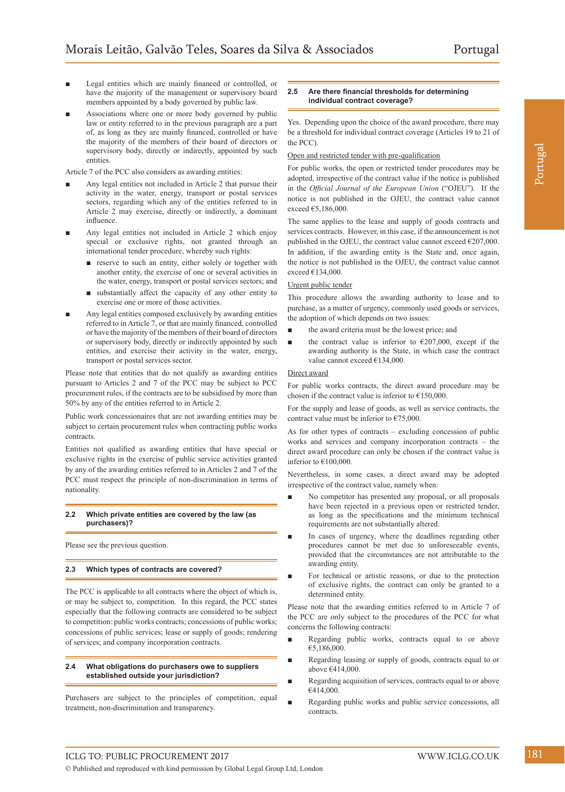- Legal entities which are mainly financed or controlled, or have the majority of the management or supervisory board members appointed by a body governed by public law.
- Associations where one or more body governed by public law or entity referred to in the previous paragraph are a part of, as long as they are mainly financed, controlled or have the majority of the members of their board of directors or supervisory body, directly or indirectly, appointed by such entities.

Article 7 of the PCC also considers as awarding entities:

- Any legal entities not included in Article 2 that pursue their activity in the water, energy, transport or postal services sectors, regarding which any of the entities referred to in Article 2 may exercise, directly or indirectly, a dominant influence.
- Any legal entities not included in Article 2 which enjoy special or exclusive rights, not granted through an international tender procedure, whereby such rights:
	- reserve to such an entity, either solely or together with another entity, the exercise of one or several activities in the water, energy, transport or postal services sectors; and
	- **■** substantially affect the capacity of any other entity to exercise one or more of those activities.
- Any legal entities composed exclusively by awarding entities referred to in Article 7, or that are mainly financed, controlled or have the majority of the members of their board of directors or supervisory body, directly or indirectly appointed by such entities, and exercise their activity in the water, energy, transport or postal services sector.

Please note that entities that do not qualify as awarding entities pursuant to Articles 2 and 7 of the PCC may be subject to PCC procurement rules, if the contracts are to be subsidised by more than 50% by any of the entities referred to in Article 2.

Public work concessionaires that are not awarding entities may be subject to certain procurement rules when contracting public works contracts.

Entities not qualified as awarding entities that have special or exclusive rights in the exercise of public service activities granted by any of the awarding entities referred to in Articles 2 and 7 of the PCC must respect the principle of non-discrimination in terms of nationality.

#### **2.2 Which private entities are covered by the law (as purchasers)?**

Please see the previous question.

#### **2.3 Which types of contracts are covered?**

The PCC is applicable to all contracts where the object of which is, or may be subject to, competition. In this regard, the PCC states especially that the following contracts are considered to be subject to competition: public works contracts; concessions of public works; concessions of public services; lease or supply of goods; rendering of services; and company incorporation contracts.

#### **2.4 What obligations do purchasers owe to suppliers established outside your jurisdiction?**

Purchasers are subject to the principles of competition, equal treatment, non-discrimination and transparency.

#### **2.5 Are there financial thresholds for determining individual contract coverage?**

Yes. Depending upon the choice of the award procedure, there may be a threshold for individual contract coverage (Articles 19 to 21 of the PCC).

#### Open and restricted tender with pre-qualification

For public works, the open or restricted tender procedures may be adopted, irrespective of the contract value if the notice is published in the *Official Journal of the European Union* ("OJEU"). If the notice is not published in the OJEU, the contract value cannot exceed €5,186,000.

The same applies to the lease and supply of goods contracts and services contracts. However, in this case, if the announcement is not published in the OJEU, the contract value cannot exceed €207,000. In addition, if the awarding entity is the State and, once again, the notice is not published in the OJEU, the contract value cannot exceed €134,000.

#### Urgent public tender

This procedure allows the awarding authority to lease and to purchase, as a matter of urgency, commonly used goods or services, the adoption of which depends on two issues:

- the award criteria must be the lowest price; and
- the contract value is inferior to  $\epsilon$ 207,000, except if the awarding authority is the State, in which case the contract value cannot exceed €134,000.

#### Direct award

For public works contracts, the direct award procedure may be chosen if the contract value is inferior to  $£150,000$ .

For the supply and lease of goods, as well as service contracts, the contract value must be inferior to €75,000.

As for other types of contracts – excluding concession of public works and services and company incorporation contracts – the direct award procedure can only be chosen if the contract value is inferior to €100,000.

Nevertheless, in some cases, a direct award may be adopted irrespective of the contract value, namely when:

- No competitor has presented any proposal, or all proposals have been rejected in a previous open or restricted tender, as long as the specifications and the minimum technical requirements are not substantially altered.
- In cases of urgency, where the deadlines regarding other procedures cannot be met due to unforeseeable events, provided that the circumstances are not attributable to the awarding entity.
- For technical or artistic reasons, or due to the protection of exclusive rights, the contract can only be granted to a determined entity.

Please note that the awarding entities referred to in Article 7 of the PCC are only subject to the procedures of the PCC for what concerns the following contracts:

- Regarding public works, contracts equal to or above €5,186,000.
- **■** Regarding leasing or supply of goods, contracts equal to or above €414,000.
- **■** Regarding acquisition of services, contracts equal to or above €414,000.
- Regarding public works and public service concessions, all contracts.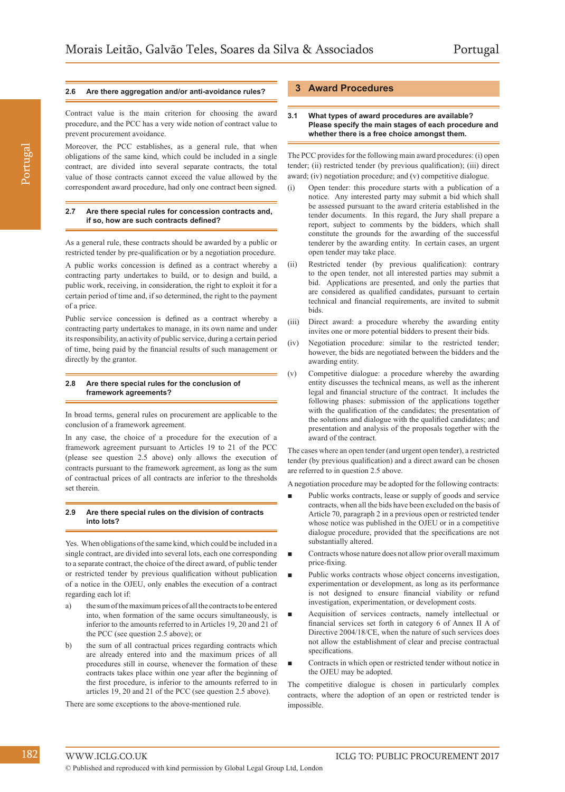#### **2.6 Are there aggregation and/or anti-avoidance rules?**

Contract value is the main criterion for choosing the award procedure, and the PCC has a very wide notion of contract value to prevent procurement avoidance.

Moreover, the PCC establishes, as a general rule, that when obligations of the same kind, which could be included in a single contract, are divided into several separate contracts, the total value of those contracts cannot exceed the value allowed by the correspondent award procedure, had only one contract been signed.

#### **2.7 Are there special rules for concession contracts and, if so, how are such contracts defined?**

As a general rule, these contracts should be awarded by a public or restricted tender by pre-qualification or by a negotiation procedure.

A public works concession is defined as a contract whereby a contracting party undertakes to build, or to design and build, a public work, receiving, in consideration, the right to exploit it for a certain period of time and, if so determined, the right to the payment of a price.

Public service concession is defined as a contract whereby a contracting party undertakes to manage, in its own name and under its responsibility, an activity of public service, during a certain period of time, being paid by the financial results of such management or directly by the grantor.

#### **2.8 Are there special rules for the conclusion of framework agreements?**

In broad terms, general rules on procurement are applicable to the conclusion of a framework agreement.

In any case, the choice of a procedure for the execution of a framework agreement pursuant to Articles 19 to 21 of the PCC (please see question 2.5 above) only allows the execution of contracts pursuant to the framework agreement, as long as the sum of contractual prices of all contracts are inferior to the thresholds set therein.

#### **2.9 Are there special rules on the division of contracts into lots?**

Yes. When obligations of the same kind, which could be included in a single contract, are divided into several lots, each one corresponding to a separate contract, the choice of the direct award, of public tender or restricted tender by previous qualification without publication of a notice in the OJEU, only enables the execution of a contract regarding each lot if:

- the sum of the maximum prices of all the contracts to be entered into, when formation of the same occurs simultaneously, is inferior to the amounts referred to in Articles 19, 20 and 21 of the PCC (see question 2.5 above); or
- b) the sum of all contractual prices regarding contracts which are already entered into and the maximum prices of all procedures still in course, whenever the formation of these contracts takes place within one year after the beginning of the first procedure, is inferior to the amounts referred to in articles 19, 20 and 21 of the PCC (see question 2.5 above).

There are some exceptions to the above-mentioned rule.

#### **3 Award Procedures**

#### **3.1 What types of award procedures are available? Please specify the main stages of each procedure and whether there is a free choice amongst them.**

The PCC provides for the following main award procedures: (i) open tender; (ii) restricted tender (by previous qualification); (iii) direct award; (iv) negotiation procedure; and (v) competitive dialogue.

- (i) Open tender: this procedure starts with a publication of a notice. Any interested party may submit a bid which shall be assessed pursuant to the award criteria established in the tender documents. In this regard, the Jury shall prepare a report, subject to comments by the bidders, which shall constitute the grounds for the awarding of the successful tenderer by the awarding entity. In certain cases, an urgent open tender may take place.
- (ii) Restricted tender (by previous qualification): contrary to the open tender, not all interested parties may submit a bid. Applications are presented, and only the parties that are considered as qualified candidates, pursuant to certain technical and financial requirements, are invited to submit bids.
- (iii) Direct award: a procedure whereby the awarding entity invites one or more potential bidders to present their bids.
- (iv) Negotiation procedure: similar to the restricted tender; however, the bids are negotiated between the bidders and the awarding entity.
- (v) Competitive dialogue: a procedure whereby the awarding entity discusses the technical means, as well as the inherent legal and financial structure of the contract. It includes the following phases: submission of the applications together with the qualification of the candidates; the presentation of the solutions and dialogue with the qualified candidates; and presentation and analysis of the proposals together with the award of the contract.

The cases where an open tender (and urgent open tender), a restricted tender (by previous qualification) and a direct award can be chosen are referred to in question 2.5 above.

A negotiation procedure may be adopted for the following contracts:

- Public works contracts, lease or supply of goods and service contracts, when all the bids have been excluded on the basis of Article 70, paragraph 2 in a previous open or restricted tender whose notice was published in the OJEU or in a competitive dialogue procedure, provided that the specifications are not substantially altered.
- **■** Contracts whose nature does not allow prior overall maximum price-fixing.
- Public works contracts whose object concerns investigation, experimentation or development, as long as its performance is not designed to ensure financial viability or refund investigation, experimentation, or development costs.
- **■** Acquisition of services contracts, namely intellectual or financial services set forth in category 6 of Annex II A of Directive 2004/18/CE, when the nature of such services does not allow the establishment of clear and precise contractual specifications.
- Contracts in which open or restricted tender without notice in the OJEU may be adopted.

The competitive dialogue is chosen in particularly complex contracts, where the adoption of an open or restricted tender is impossible.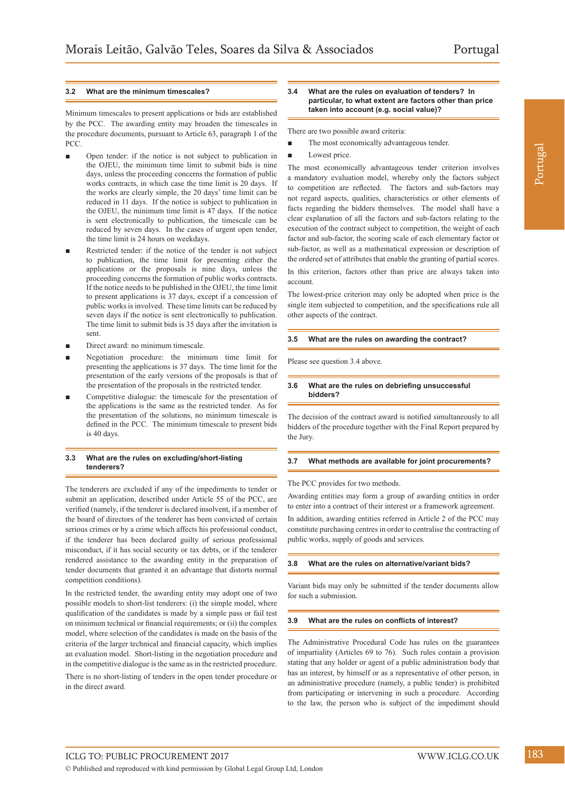#### **3.2 What are the minimum timescales?**

Minimum timescales to present applications or bids are established by the PCC. The awarding entity may broaden the timescales in the procedure documents, pursuant to Article 63, paragraph 1 of the PCC.

- Open tender: if the notice is not subject to publication in the OJEU, the minimum time limit to submit bids is nine days, unless the proceeding concerns the formation of public works contracts, in which case the time limit is 20 days. If the works are clearly simple, the 20 days' time limit can be reduced in 11 days. If the notice is subject to publication in the OJEU, the minimum time limit is 47 days. If the notice is sent electronically to publication, the timescale can be reduced by seven days. In the cases of urgent open tender, the time limit is 24 hours on weekdays.
- Restricted tender: if the notice of the tender is not subject to publication, the time limit for presenting either the applications or the proposals is nine days, unless the proceeding concerns the formation of public works contracts. If the notice needs to be published in the OJEU, the time limit to present applications is 37 days, except if a concession of public works is involved. These time limits can be reduced by seven days if the notice is sent electronically to publication. The time limit to submit bids is 35 days after the invitation is sent.
- **■** Direct award: no minimum timescale.
- Negotiation procedure: the minimum time limit for presenting the applications is 37 days. The time limit for the presentation of the early versions of the proposals is that of the presentation of the proposals in the restricted tender.
- Competitive dialogue: the timescale for the presentation of the applications is the same as the restricted tender. As for the presentation of the solutions, no minimum timescale is defined in the PCC. The minimum timescale to present bids is 40 days.

#### **3.3 What are the rules on excluding/short-listing tenderers?**

The tenderers are excluded if any of the impediments to tender or submit an application, described under Article 55 of the PCC, are verified (namely, if the tenderer is declared insolvent, if a member of the board of directors of the tenderer has been convicted of certain serious crimes or by a crime which affects his professional conduct, if the tenderer has been declared guilty of serious professional misconduct, if it has social security or tax debts, or if the tenderer rendered assistance to the awarding entity in the preparation of tender documents that granted it an advantage that distorts normal competition conditions).

In the restricted tender, the awarding entity may adopt one of two possible models to short-list tenderers: (i) the simple model, where qualification of the candidates is made by a simple pass or fail test on minimum technical or financial requirements; or (ii) the complex model, where selection of the candidates is made on the basis of the criteria of the larger technical and financial capacity, which implies an evaluation model. Short-listing in the negotiation procedure and in the competitive dialogue is the same as in the restricted procedure. There is no short-listing of tenders in the open tender procedure or in the direct award.

#### **3.4 What are the rules on evaluation of tenders? In particular, to what extent are factors other than price taken into account (e.g. social value)?**

There are two possible award criteria:

- The most economically advantageous tender.
- Lowest price.

The most economically advantageous tender criterion involves a mandatory evaluation model, whereby only the factors subject to competition are reflected. The factors and sub-factors may not regard aspects, qualities, characteristics or other elements of facts regarding the bidders themselves. The model shall have a clear explanation of all the factors and sub-factors relating to the execution of the contract subject to competition, the weight of each factor and sub-factor, the scoring scale of each elementary factor or sub-factor, as well as a mathematical expression or description of the ordered set of attributes that enable the granting of partial scores.

In this criterion, factors other than price are always taken into account.

The lowest-price criterion may only be adopted when price is the single item subjected to competition, and the specifications rule all other aspects of the contract.

#### **3.5 What are the rules on awarding the contract?**

Please see question 3.4 above.

#### **3.6 What are the rules on debriefing unsuccessful bidders?**

The decision of the contract award is notified simultaneously to all bidders of the procedure together with the Final Report prepared by the Jury.

#### **3.7 What methods are available for joint procurements?**

The PCC provides for two methods.

Awarding entities may form a group of awarding entities in order to enter into a contract of their interest or a framework agreement.

In addition, awarding entities referred in Article 2 of the PCC may constitute purchasing centres in order to centralise the contracting of public works, supply of goods and services.

#### **3.8 What are the rules on alternative/variant bids?**

Variant bids may only be submitted if the tender documents allow for such a submission.

#### **3.9 What are the rules on conflicts of interest?**

The Administrative Procedural Code has rules on the guarantees of impartiality (Articles 69 to 76). Such rules contain a provision stating that any holder or agent of a public administration body that has an interest, by himself or as a representative of other person, in an administrative procedure (namely, a public tender) is prohibited from participating or intervening in such a procedure. According to the law, the person who is subject of the impediment should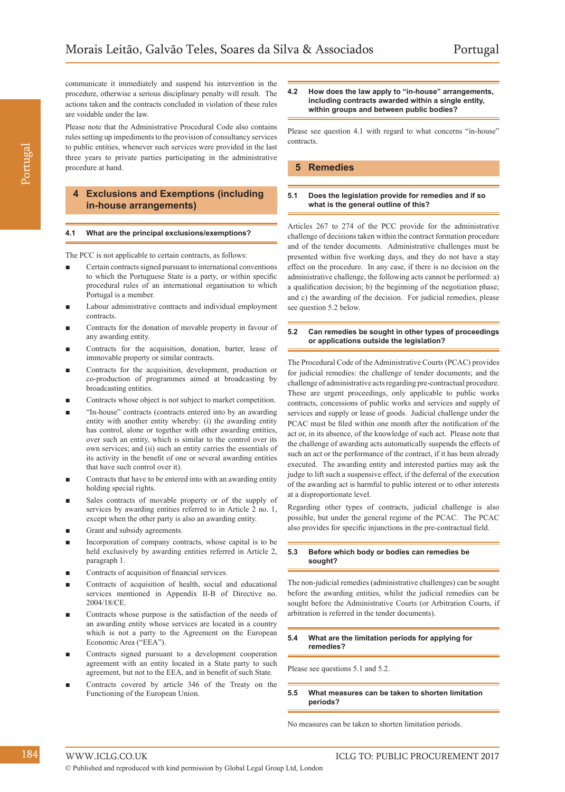communicate it immediately and suspend his intervention in the procedure, otherwise a serious disciplinary penalty will result. The actions taken and the contracts concluded in violation of these rules are voidable under the law.

Please note that the Administrative Procedural Code also contains rules setting up impediments to the provision of consultancy services to public entities, whenever such services were provided in the last three years to private parties participating in the administrative procedure at hand.

#### **4 Exclusions and Exemptions (including in-house arrangements)**

#### **4.1 What are the principal exclusions/exemptions?**

The PCC is not applicable to certain contracts, as follows:

- **■** Certain contracts signed pursuant to international conventions to which the Portuguese State is a party, or within specific procedural rules of an international organisation to which Portugal is a member.
- Labour administrative contracts and individual employment contracts.
- Contracts for the donation of movable property in favour of any awarding entity.
- Contracts for the acquisition, donation, barter, lease of immovable property or similar contracts.
- Contracts for the acquisition, development, production or co-production of programmes aimed at broadcasting by broadcasting entities.
- Contracts whose object is not subject to market competition.
- "In-house" contracts (contracts entered into by an awarding entity with another entity whereby: (i) the awarding entity has control, alone or together with other awarding entities, over such an entity, which is similar to the control over its own services; and (ii) such an entity carries the essentials of its activity in the benefit of one or several awarding entities that have such control over it).
- **■** Contracts that have to be entered into with an awarding entity holding special rights.
- Sales contracts of movable property or of the supply of services by awarding entities referred to in Article 2 no. 1, except when the other party is also an awarding entity.
- Grant and subsidy agreements.
- Incorporation of company contracts, whose capital is to be held exclusively by awarding entities referred in Article 2, paragraph 1.
- Contracts of acquisition of financial services.
- Contracts of acquisition of health, social and educational services mentioned in Appendix II-B of Directive no. 2004/18/CE.
- Contracts whose purpose is the satisfaction of the needs of an awarding entity whose services are located in a country which is not a party to the Agreement on the European Economic Area ("EEA").
- Contracts signed pursuant to a development cooperation agreement with an entity located in a State party to such agreement, but not to the EEA, and in benefit of such State.
- Contracts covered by article 346 of the Treaty on the Functioning of the European Union.

#### **4.2 How does the law apply to "in-house" arrangements, including contracts awarded within a single entity, within groups and between public bodies?**

Please see question 4.1 with regard to what concerns "in-house" contracts.

#### **5 Remedies**

#### **5.1 Does the legislation provide for remedies and if so what is the general outline of this?**

Articles 267 to 274 of the PCC provide for the administrative challenge of decisions taken within the contract formation procedure and of the tender documents. Administrative challenges must be presented within five working days, and they do not have a stay effect on the procedure. In any case, if there is no decision on the administrative challenge, the following acts cannot be performed: a) a qualification decision; b) the beginning of the negotiation phase; and c) the awarding of the decision. For judicial remedies, please see question 5.2 below.

#### **5.2 Can remedies be sought in other types of proceedings or applications outside the legislation?**

The Procedural Code of the Administrative Courts (PCAC) provides for judicial remedies: the challenge of tender documents; and the challenge of administrative acts regarding pre-contractual procedure. These are urgent proceedings, only applicable to public works contracts, concessions of public works and services and supply of services and supply or lease of goods. Judicial challenge under the PCAC must be filed within one month after the notification of the act or, in its absence, of the knowledge of such act. Please note that the challenge of awarding acts automatically suspends the effects of such an act or the performance of the contract, if it has been already executed. The awarding entity and interested parties may ask the judge to lift such a suspensive effect, if the deferral of the execution of the awarding act is harmful to public interest or to other interests at a disproportionate level.

Regarding other types of contracts, judicial challenge is also possible, but under the general regime of the PCAC. The PCAC also provides for specific injunctions in the pre-contractual field.

#### **5.3 Before which body or bodies can remedies be sought?**

The non-judicial remedies (administrative challenges) can be sought before the awarding entities, whilst the judicial remedies can be sought before the Administrative Courts (or Arbitration Courts, if arbitration is referred in the tender documents).

#### **5.4 What are the limitation periods for applying for remedies?**

Please see questions 5.1 and 5.2.

#### **5.5 What measures can be taken to shorten limitation periods?**

No measures can be taken to shorten limitation periods.

Portugal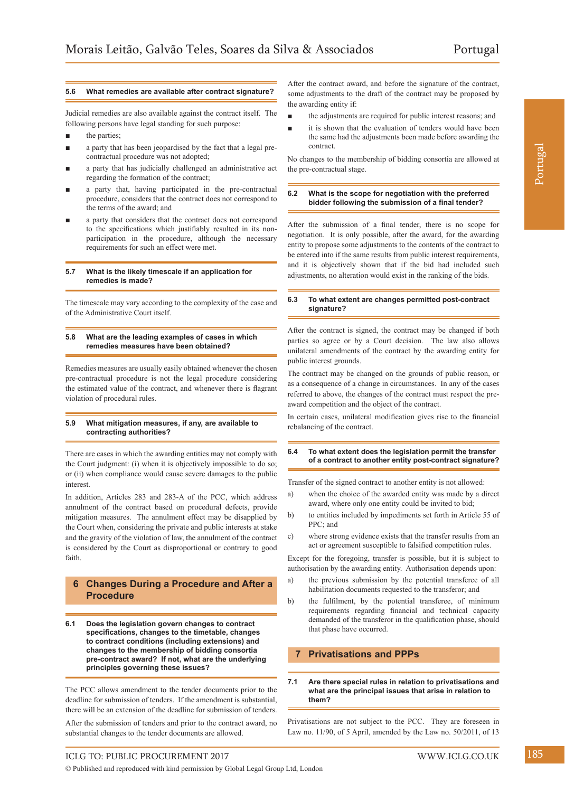Portugal

#### **5.6 What remedies are available after contract signature?**

Judicial remedies are also available against the contract itself. The following persons have legal standing for such purpose:

- the parties;
- a party that has been jeopardised by the fact that a legal precontractual procedure was not adopted;
- **■** a party that has judicially challenged an administrative act regarding the formation of the contract;
- a party that, having participated in the pre-contractual procedure, considers that the contract does not correspond to the terms of the award; and
- a party that considers that the contract does not correspond to the specifications which justifiably resulted in its nonparticipation in the procedure, although the necessary requirements for such an effect were met.

#### **5.7 What is the likely timescale if an application for remedies is made?**

The timescale may vary according to the complexity of the case and of the Administrative Court itself.

#### **5.8 What are the leading examples of cases in which remedies measures have been obtained?**

Remedies measures are usually easily obtained whenever the chosen pre-contractual procedure is not the legal procedure considering the estimated value of the contract, and whenever there is flagrant violation of procedural rules.

#### **5.9 What mitigation measures, if any, are available to contracting authorities?**

There are cases in which the awarding entities may not comply with the Court judgment: (i) when it is objectively impossible to do so; or (ii) when compliance would cause severe damages to the public interest.

In addition, Articles 283 and 283-A of the PCC, which address annulment of the contract based on procedural defects, provide mitigation measures. The annulment effect may be disapplied by the Court when, considering the private and public interests at stake and the gravity of the violation of law, the annulment of the contract is considered by the Court as disproportional or contrary to good faith.

#### **6 Changes During a Procedure and After a Procedure**

**6.1 Does the legislation govern changes to contract specifications, changes to the timetable, changes to contract conditions (including extensions) and changes to the membership of bidding consortia pre-contract award? If not, what are the underlying principles governing these issues?**

The PCC allows amendment to the tender documents prior to the deadline for submission of tenders. If the amendment is substantial, there will be an extension of the deadline for submission of tenders.

After the submission of tenders and prior to the contract award, no substantial changes to the tender documents are allowed.

After the contract award, and before the signature of the contract, some adjustments to the draft of the contract may be proposed by the awarding entity if:

- **■** the adjustments are required for public interest reasons; and
- it is shown that the evaluation of tenders would have been the same had the adjustments been made before awarding the contract.

No changes to the membership of bidding consortia are allowed at the pre-contractual stage.

#### **6.2 What is the scope for negotiation with the preferred bidder following the submission of a final tender?**

After the submission of a final tender, there is no scope for negotiation. It is only possible, after the award, for the awarding entity to propose some adjustments to the contents of the contract to be entered into if the same results from public interest requirements, and it is objectively shown that if the bid had included such adjustments, no alteration would exist in the ranking of the bids.

#### **6.3 To what extent are changes permitted post-contract signature?**

After the contract is signed, the contract may be changed if both parties so agree or by a Court decision. The law also allows unilateral amendments of the contract by the awarding entity for public interest grounds.

The contract may be changed on the grounds of public reason, or as a consequence of a change in circumstances. In any of the cases referred to above, the changes of the contract must respect the preaward competition and the object of the contract.

In certain cases, unilateral modification gives rise to the financial rebalancing of the contract.

#### **6.4 To what extent does the legislation permit the transfer of a contract to another entity post-contract signature?**

Transfer of the signed contract to another entity is not allowed:

- a) when the choice of the awarded entity was made by a direct award, where only one entity could be invited to bid;
- b) to entities included by impediments set forth in Article 55 of PPC; and
- c) where strong evidence exists that the transfer results from an act or agreement susceptible to falsified competition rules.

Except for the foregoing, transfer is possible, but it is subject to authorisation by the awarding entity. Authorisation depends upon:

- a) the previous submission by the potential transferee of all habilitation documents requested to the transferor; and
- b) the fulfilment, by the potential transferee, of minimum requirements regarding financial and technical capacity demanded of the transferor in the qualification phase, should that phase have occurred.

#### **7 Privatisations and PPPs**

**7.1 Are there special rules in relation to privatisations and what are the principal issues that arise in relation to them?**

Privatisations are not subject to the PCC. They are foreseen in Law no. 11/90, of 5 April, amended by the Law no. 50/2011, of 13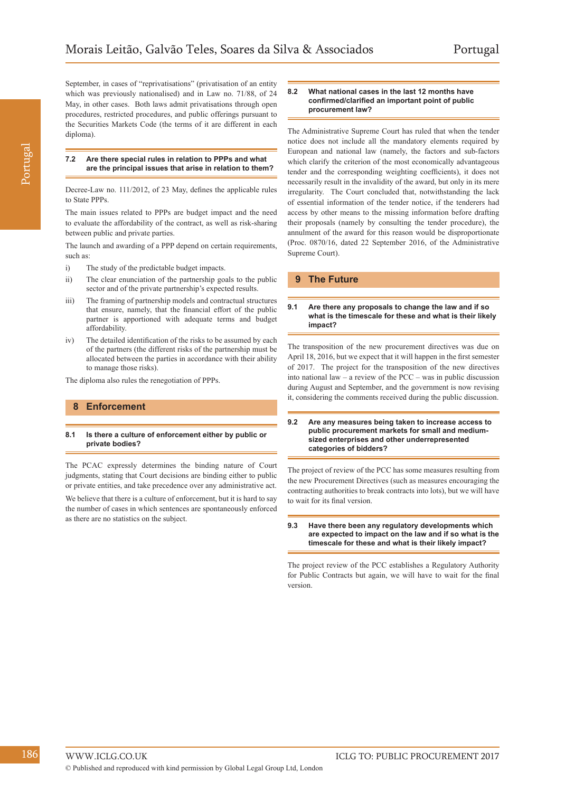September, in cases of "reprivatisations" (privatisation of an entity which was previously nationalised) and in Law no. 71/88, of 24 May, in other cases. Both laws admit privatisations through open procedures, restricted procedures, and public offerings pursuant to the Securities Markets Code (the terms of it are different in each diploma).

#### **7.2 Are there special rules in relation to PPPs and what are the principal issues that arise in relation to them?**

Decree-Law no. 111/2012, of 23 May, defines the applicable rules to State PPPs.

The main issues related to PPPs are budget impact and the need to evaluate the affordability of the contract, as well as risk-sharing between public and private parties.

The launch and awarding of a PPP depend on certain requirements, such as:

- i) The study of the predictable budget impacts.
- ii) The clear enunciation of the partnership goals to the public sector and of the private partnership's expected results.
- iii) The framing of partnership models and contractual structures that ensure, namely, that the financial effort of the public partner is apportioned with adequate terms and budget affordability.
- iv) The detailed identification of the risks to be assumed by each of the partners (the different risks of the partnership must be allocated between the parties in accordance with their ability to manage those risks).

The diploma also rules the renegotiation of PPPs.

#### **8 Enforcement**

#### **8.1 Is there a culture of enforcement either by public or private bodies?**

The PCAC expressly determines the binding nature of Court judgments, stating that Court decisions are binding either to public or private entities, and take precedence over any administrative act. We believe that there is a culture of enforcement, but it is hard to say the number of cases in which sentences are spontaneously enforced as there are no statistics on the subject.

#### **8.2 What national cases in the last 12 months have confirmed/clarified an important point of public procurement law?**

The Administrative Supreme Court has ruled that when the tender notice does not include all the mandatory elements required by European and national law (namely, the factors and sub-factors which clarify the criterion of the most economically advantageous tender and the corresponding weighting coefficients), it does not necessarily result in the invalidity of the award, but only in its mere irregularity. The Court concluded that, notwithstanding the lack of essential information of the tender notice, if the tenderers had access by other means to the missing information before drafting their proposals (namely by consulting the tender procedure), the annulment of the award for this reason would be disproportionate (Proc. 0870/16, dated 22 September 2016, of the Administrative Supreme Court).

#### **9 The Future**

#### **9.1 Are there any proposals to change the law and if so what is the timescale for these and what is their likely impact?**

The transposition of the new procurement directives was due on April 18, 2016, but we expect that it will happen in the first semester of 2017. The project for the transposition of the new directives into national law – a review of the PCC – was in public discussion during August and September, and the government is now revising it, considering the comments received during the public discussion.

#### **9.2 Are any measures being taken to increase access to public procurement markets for small and mediumsized enterprises and other underrepresented categories of bidders?**

The project of review of the PCC has some measures resulting from the new Procurement Directives (such as measures encouraging the contracting authorities to break contracts into lots), but we will have to wait for its final version.

#### **9.3 Have there been any regulatory developments which are expected to impact on the law and if so what is the timescale for these and what is their likely impact?**

The project review of the PCC establishes a Regulatory Authority for Public Contracts but again, we will have to wait for the final version.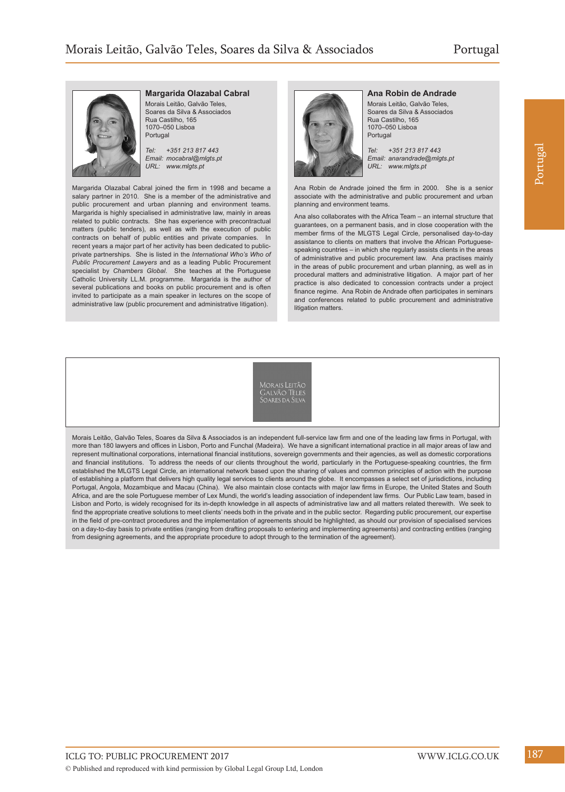

#### **Margarida Olazabal Cabral**

Morais Leitão, Galvão Teles, Soares da Silva & Associados Rua Castilho, 165 1070–050 Lisboa Portugal

*Tel: +351 213 817 443 Email: mocabral@mlgts.pt URL: www.mlgts.pt*

Margarida Olazabal Cabral joined the firm in 1998 and became a salary partner in 2010. She is a member of the administrative and public procurement and urban planning and environment teams. Margarida is highly specialised in administrative law, mainly in areas related to public contracts. She has experience with precontractual matters (public tenders), as well as with the execution of public contracts on behalf of public entities and private companies. In recent years a major part of her activity has been dedicated to publicprivate partnerships. She is listed in the *International Who's Who of Public Procurement Lawyers* and as a leading Public Procurement specialist by *Chambers Global*. She teaches at the Portuguese Catholic University LL.M. programme. Margarida is the author of several publications and books on public procurement and is often invited to participate as a main speaker in lectures on the scope of administrative law (public procurement and administrative litigation).



**Ana Robin de Andrade** Morais Leitão, Galvão Teles, Soares da Silva & Associados Rua Castilho, 165 1070–050 Lisboa

*Tel: +351 213 817 443 Email: anarandrade@mlgts.pt URL: www.mlgts.pt*

Ana Robin de Andrade joined the firm in 2000. She is a senior associate with the administrative and public procurement and urban planning and environment teams.

Ana also collaborates with the Africa Team – an internal structure that guarantees, on a permanent basis, and in close cooperation with the member firms of the MLGTS Legal Circle, personalised day-to-day assistance to clients on matters that involve the African Portuguesespeaking countries – in which she regularly assists clients in the areas of administrative and public procurement law. Ana practises mainly in the areas of public procurement and urban planning, as well as in procedural matters and administrative litigation. A major part of her practice is also dedicated to concession contracts under a project finance regime. Ana Robin de Andrade often participates in seminars and conferences related to public procurement and administrative litigation matters.

Morais Leitão, Galvão Teles, Soares da Silva & Associados is an independent full-service law firm and one of the leading law firms in Portugal, with more than 180 lawyers and offices in Lisbon, Porto and Funchal (Madeira). We have a significant international practice in all major areas of law and represent multinational corporations, international financial institutions, sovereign governments and their agencies, as well as domestic corporations and financial institutions. To address the needs of our clients throughout the world, particularly in the Portuguese-speaking countries, the firm established the MLGTS Legal Circle, an international network based upon the sharing of values and common principles of action with the purpose of establishing a platform that delivers high quality legal services to clients around the globe. It encompasses a select set of jurisdictions, including Portugal, Angola, Mozambique and Macau (China). We also maintain close contacts with major law firms in Europe, the United States and South Africa, and are the sole Portuguese member of Lex Mundi, the world's leading association of independent law firms. Our Public Law team, based in Lisbon and Porto, is widely recognised for its in-depth knowledge in all aspects of administrative law and all matters related therewith. We seek to find the appropriate creative solutions to meet clients' needs both in the private and in the public sector. Regarding public procurement, our expertise in the field of pre-contract procedures and the implementation of agreements should be highlighted, as should our provision of specialised services on a day-to-day basis to private entities (ranging from drafting proposals to entering and implementing agreements) and contracting entities (ranging from designing agreements, and the appropriate procedure to adopt through to the termination of the agreement).